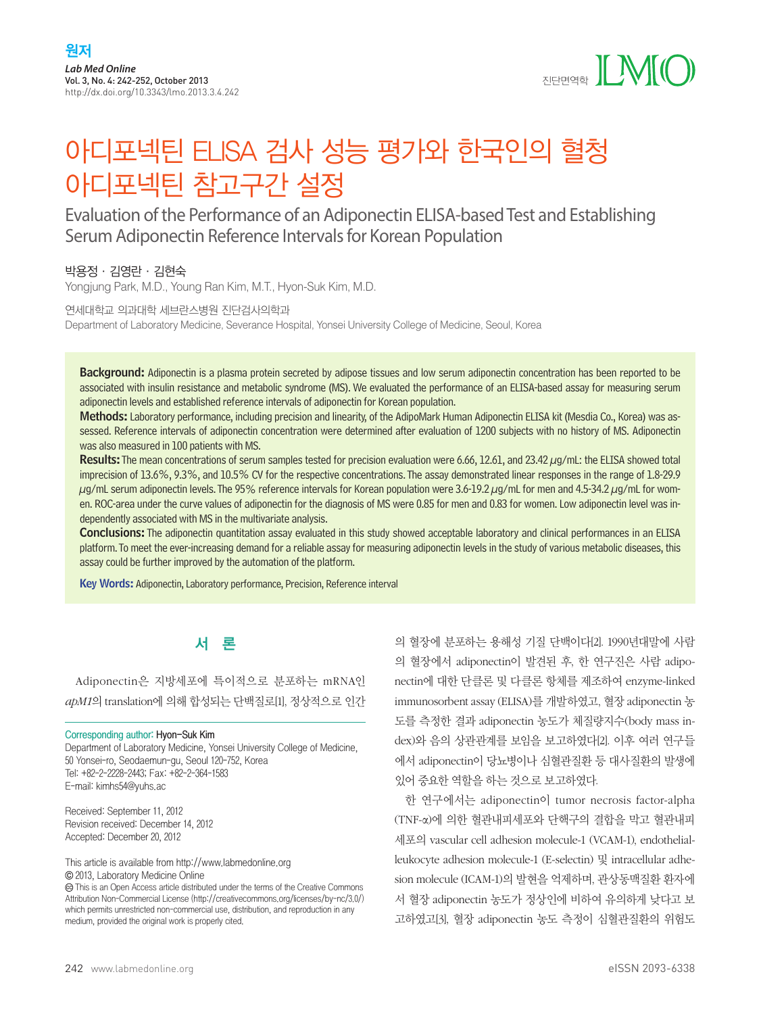

# 아디포넥틴 ELISA 검사 성능 평가와 한국인의 혈청 아디포넥틴 참고구간 설정

# Evaluation of the Performance of an Adiponectin ELISA-based Test and Establishing Serum Adiponectin Reference Intervals for Korean Population

# 박용정·김영란·김현숙

Yongjung Park, M.D., Young Ran Kim, M.T., Hyon-Suk Kim, M.D.

연세대학교 의과대학 세브란스병원 진단검사의학과 Department of Laboratory Medicine, Severance Hospital, Yonsei University College of Medicine, Seoul, Korea

Background: Adiponectin is a plasma protein secreted by adipose tissues and low serum adiponectin concentration has been reported to be associated with insulin resistance and metabolic syndrome (MS). We evaluated the performance of an ELISA-based assay for measuring serum adiponectin levels and established reference intervals of adiponectin for Korean population.

Methods: Laboratory performance, including precision and linearity, of the AdipoMark Human Adiponectin ELISA kit (Mesdia Co., Korea) was assessed. Reference intervals of adiponectin concentration were determined after evaluation of 1200 subjects with no history of MS. Adiponectin was also measured in 100 patients with MS.

Results: The mean concentrations of serum samples tested for precision evaluation were 6.66, 12.61, and 23.42 μg/mL: the ELISA showed total imprecision of 13.6%, 9.3%, and 10.5% CV for the respective concentrations. The assay demonstrated linear responses in the range of 1.8-29.9 μg/mL serum adiponectin levels. The 95% reference intervals for Korean population were 3.6-19.2 μg/mL for men and 4.5-34.2 μg/mL for women. ROC-area under the curve values of adiponectin for the diagnosis of MS were 0.85 for men and 0.83 for women. Low adiponectin level was independently associated with MS in the multivariate analysis.

Conclusions: The adiponectin quantitation assay evaluated in this study showed acceptable laboratory and clinical performances in an ELISA platform. To meet the ever-increasing demand for a reliable assay for measuring adiponectin levels in the study of various metabolic diseases, this assay could be further improved by the automation of the platform.

Key Words: Adiponectin, Laboratory performance, Precision, Reference interval

# 서 론

Adiponectin은 지방세포에 특이적으로 분포하는 mRNA인 *apM1*의 translation에 의해 합성되는 단백질로[1], 정상적으로 인간

#### Corresponding author: Hyon-Suk Kim

Department of Laboratory Medicine, Yonsei University College of Medicine, 50 Yonsei-ro, Seodaemun-gu, Seoul 120-752, Korea Tel: +82-2-2228-2443; Fax: +82-2-364-1583 E-mail: kimhs54@yuhs.ac

Received: September 11, 2012 Revision received: December 14, 2012 Accepted: December 20, 2012

This article is available from http://www.labmedonline.org 2013, Laboratory Medicine Online

 This is an Open Access article distributed under the terms of the Creative Commons Attribution Non-Commercial License (http://creativecommons.org/licenses/by-nc/3.0/) which permits unrestricted non-commercial use, distribution, and reproduction in any medium, provided the original work is properly cited.

의 혈장에 분포하는 용해성 기질 단백이다[2]. 1990년대말에 사람 의 혈장에서 adiponectin이 발견된 후, 한 연구진은 사람 adiponectin에 대한 단클론 및 다클론 항체를 제조하여 enzyme-linked immunosorbent assay (ELISA)를 개발하였고, 혈장 adiponectin 농 도를 측정한 결과 adiponectin 농도가 체질량지수(body mass index)와 음의 상관관계를 보임을 보고하였다[2]. 이후 여러 연구들 에서 adiponectin이 당뇨병이나 심혈관질환 등 대사질환의 발생에 있어 중요한 역할을 하는 것으로 보고하였다.

한 연구에서는 adiponectin이 tumor necrosis factor-alpha (TNF-α)에 의한 혈관내피세포와 단핵구의 결합을 막고 혈관내피 세포의 vascular cell adhesion molecule-1 (VCAM-1), endothelialleukocyte adhesion molecule-1 (E-selectin) 및 intracellular adhesion molecule (ICAM-1)의 발현을 억제하며, 관상동맥질환 환자에 서 혈장 adiponectin 농도가 정상인에 비하여 유의하게 낮다고 보 고하였고[3], 혈장 adiponectin 농도 측정이 심혈관질환의 위험도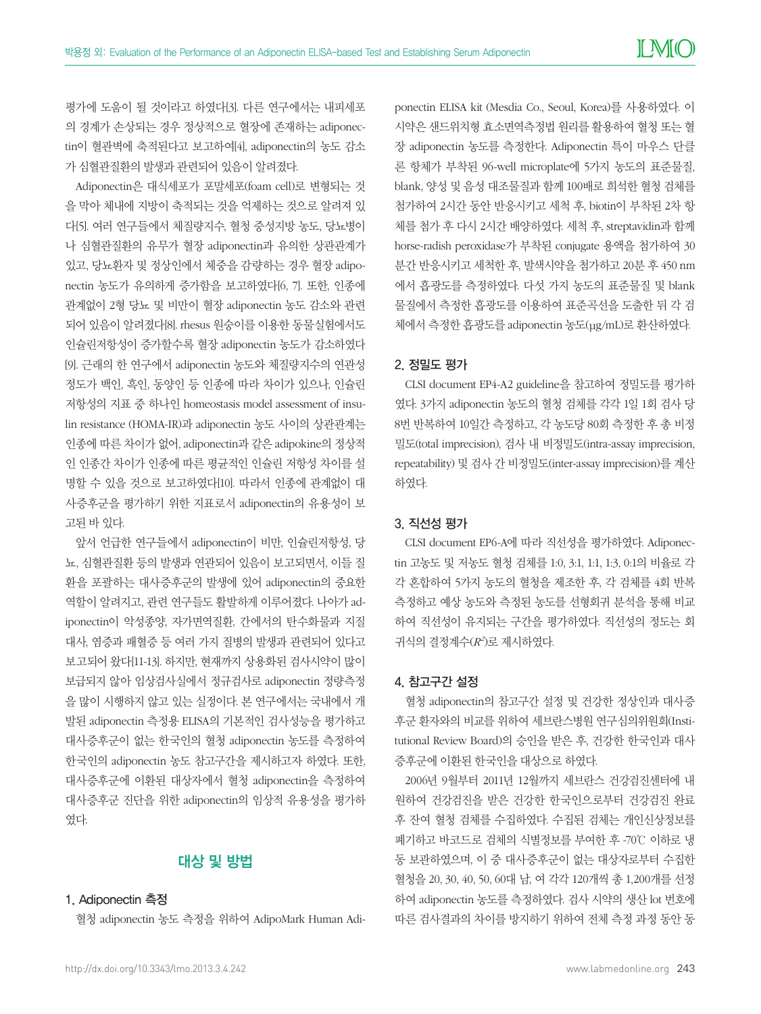평가에 도움이 될 것이라고 하였다[3]. 다른 연구에서는 내피세포 의 경계가 손상되는 경우 정상적으로 혈장에 존재하는 adiponectin이 혈관벽에 축적된다고 보고하여[4], adiponectin의 농도 감소 가 심혈관질환의 발생과 관련되어 있음이 알려졌다.

Adiponectin은 대식세포가 포말세포(foam cell)로 변형되는 것 을 막아 체내에 지방이 축적되는 것을 억제하는 것으로 알려져 있 다[5]. 여러 연구들에서 체질량지수, 혈청 중성지방 농도, 당뇨병이 나 심혈관질환의 유무가 혈장 adiponectin과 유의한 상관관계가 있고, 당뇨환자 및 정상인에서 체중을 감량하는 경우 혈장 adiponectin 농도가 유의하게 증가함을 보고하였다[6, 7]. 또한, 인종에 관계없이 2형 당뇨 및 비만이 혈장 adiponectin 농도 감소와 관련 되어 있음이 알려졌다[8]. rhesus 원숭이를 이용한 동물실험에서도 인슐린저항성이 증가할수록 혈장 adiponectin 농도가 감소하였다 [9]. 근래의 한 연구에서 adiponectin 농도와 체질량지수의 연관성 정도가 백인, 흑인, 동양인 등 인종에 따라 차이가 있으나, 인슐린 저항성의 지표 중 하나인 homeostasis model assessment of insulin resistance (HOMA-IR)과 adiponectin 농도 사이의 상관관계는 인종에 따른 차이가 없어, adiponectin과 같은 adipokine의 정상적 인 인종간 차이가 인종에 따른 평균적인 인슐린 저항성 차이를 설 명할 수 있을 것으로 보고하였다[10]. 따라서 인종에 관계없이 대 사증후군을 평가하기 위한 지표로서 adiponectin의 유용성이 보 고된 바 있다.

앞서 언급한 연구들에서 adiponectin이 비만, 인슐린저항성, 당 뇨, 심혈관질환 등의 발생과 연관되어 있음이 보고되면서, 이들 질 환을 포괄하는 대사증후군의 발생에 있어 adiponectin의 중요한 역할이 알려지고, 관련 연구들도 활발하게 이루어졌다. 나아가 adiponectin이 악성종양, 자가면역질환, 간에서의 탄수화물과 지질 대사, 염증과 패혈증 등 여러 가지 질병의 발생과 관련되어 있다고 보고되어 왔다[11-13]. 하지만, 현재까지 상용화된 검사시약이 많이 보급되지 않아 임상검사실에서 정규검사로 adiponectin 정량측정 을 많이 시행하지 않고 있는 실정이다. 본 연구에서는 국내에서 개 발된 adiponectin 측정용 ELISA의 기본적인 검사성능을 평가하고 대사증후군이 없는 한국인의 혈청 adiponectin 농도를 측정하여 한국인의 adiponectin 농도 참고구간을 제시하고자 하였다. 또한, 대사증후군에 이환된 대상자에서 혈청 adiponectin을 측정하여 대사증후군 진단을 위한 adiponectin의 임상적 유용성을 평가하 였다.

# 대상 및 방법

# 1. Adiponectin 측정

혈청 adiponectin 농도 측정을 위하여 AdipoMark Human Adi-

ponectin ELISA kit (Mesdia Co., Seoul, Korea)를 사용하였다. 이 시약은 샌드위치형 효소면역측정법 원리를 활용하여 혈청 또는 혈 장 adiponectin 농도를 측정한다. Adiponectin 특이 마우스 단클 론 항체가 부착된 96-well microplate에 5가지 농도의 표준물질, blank, 양성 및 음성 대조물질과 함께 100배로 희석한 혈청 검체를 첨가하여 2시간 동안 반응시키고 세척 후, biotin이 부착된 2차 항 체를 첨가 후 다시 2시간 배양하였다. 세척 후, streptavidin과 함께 horse-radish peroxidase가 부착된 conjugate 용액을 첨가하여 30 분간 반응시키고 세척한 후, 발색시약을 첨가하고 20분 후 450 nm 에서 흡광도를 측정하였다. 다섯 가지 농도의 표준물질 및 blank 물질에서 측정한 흡광도를 이용하여 표준곡선을 도출한 뒤 각 검 체에서 측정한 흡광도를 adiponectin 농도(μg/mL)로 환산하였다.

# 2. 정밀도 평가

CLSI document EP4-A2 guideline을 참고하여 정밀도를 평가하 였다. 3가지 adiponectin 농도의 혈청 검체를 각각 1일 1회 검사 당 8번 반복하여 10일간 측정하고, 각 농도당 80회 측정한 후 총 비정 밀도(total imprecision), 검사 내 비정밀도(intra-assay imprecision, repeatability) 및 검사 간 비정밀도(inter-assay imprecision)를 계산 하였다.

## 3. 직선성 평가

CLSI document EP6-A에 따라 직선성을 평가하였다. Adiponectin 고농도 및 저농도 혈청 검체를 1:0, 3:1, 1:1, 1:3, 0:1의 비율로 각 각 혼합하여 5가지 농도의 혈청을 제조한 후, 각 검체를 4회 반복 측정하고 예상 농도와 측정된 농도를 선형회귀 분석을 통해 비교 하여 직선성이 유지되는 구간을 평가하였다. 직선성의 정도는 회 귀식의 결정계수(*R2* )로 제시하였다.

### 4. 참고구간 설정

혈청 adiponectin의 참고구간 설정 및 건강한 정상인과 대사증 후군 환자와의 비교를 위하여 세브란스병원 연구심의위원회(Institutional Review Board)의 승인을 받은 후, 건강한 한국인과 대사 증후군에 이환된 한국인을 대상으로 하였다.

2006년 9월부터 2011년 12월까지 세브란스 건강검진센터에 내 원하여 건강검진을 받은 건강한 한국인으로부터 건강검진 완료 후 잔여 혈청 검체를 수집하였다. 수집된 검체는 개인신상정보를 폐기하고 바코드로 검체의 식별정보를 부여한 후 -70℃ 이하로 냉 동 보관하였으며, 이 중 대사증후군이 없는 대상자로부터 수집한 혈청을 20, 30, 40, 50, 60대 남, 여 각각 120개씩 총 1,200개를 선정 하여 adiponectin 농도를 측정하였다. 검사 시약의 생산 lot 번호에 따른 검사결과의 차이를 방지하기 위하여 전체 측정 과정 동안 동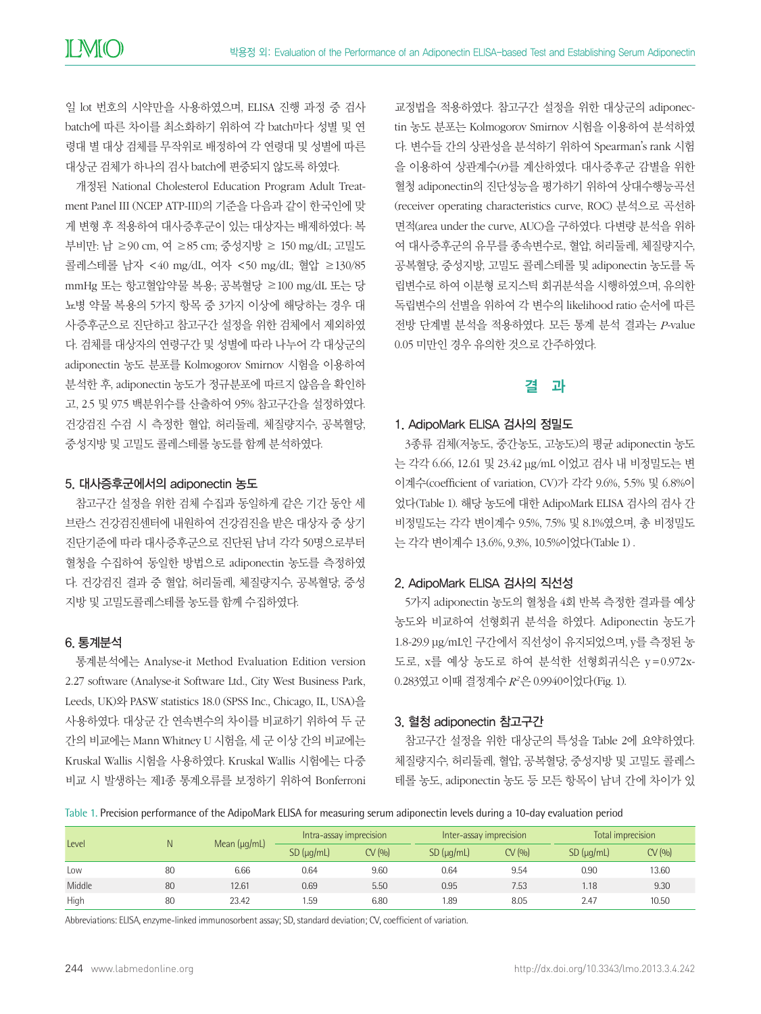일 lot 번호의 시약만을 사용하였으며, ELISA 진행 과정 중 검사 batch에 따른 차이를 최소화하기 위하여 각 batch마다 성별 및 연 령대 별 대상 검체를 무작위로 배정하여 각 연령대 및 성별에 따른 대상군 검체가 하나의 검사 batch에 편중되지 않도록 하였다.

개정된 National Cholesterol Education Program Adult Treatment Panel III (NCEP ATP-III)의 기준을 다음과 같이 한국인에 맞 게 변형 후 적용하여 대사증후군이 있는 대상자는 배제하였다: 복 부비만: 남 ≥90 cm, 여 ≥85 cm; 중성지방 ≥ 150 mg/dL; 고밀도 콜레스테롤 남자 <40 mg/dL, 여자 <50 mg/dL; 혈압 ≥130/85 mmHg 또는 항고혈압약물 복용; 공복혈당 ≥100 mg/dL 또는 당 뇨병 약물 복용의 5가지 항목 중 3가지 이상에 해당하는 경우 대 사증후군으로 진단하고 참고구간 설정을 위한 검체에서 제외하였 다. 검체를 대상자의 연령구간 및 성별에 따라 나누어 각 대상군의 adiponectin 농도 분포를 Kolmogorov Smirnov 시험을 이용하여 분석한 후, adiponectin 농도가 정규분포에 따르지 않음을 확인하 고, 2.5 및 97.5 백분위수를 산출하여 95% 참고구간을 설정하였다. 건강검진 수검 시 측정한 혈압, 허리둘레, 체질량지수, 공복혈당, 중성지방 및 고밀도 콜레스테롤 농도를 함께 분석하였다.

#### 5. 대사증후군에서의 adiponectin 농도

참고구간 설정을 위한 검체 수집과 동일하게 같은 기간 동안 세 브란스 건강검진센터에 내원하여 건강검진을 받은 대상자 중 상기 진단기준에 따라 대사증후군으로 진단된 남녀 각각 50명으로부터 혈청을 수집하여 동일한 방법으로 adiponectin 농도를 측정하였 다. 건강검진 결과 중 혈압, 허리둘레, 체질량지수, 공복혈당, 중성 지방 및 고밀도콜레스테롤 농도를 함께 수집하였다.

# 6. 통계분석

통계분석에는 Analyse-it Method Evaluation Edition version 2.27 software (Analyse-it Software Ltd., City West Business Park, Leeds, UK)와 PASW statistics 18.0 (SPSS Inc., Chicago, IL, USA)을 사용하였다. 대상군 간 연속변수의 차이를 비교하기 위하여 두 군 간의 비교에는 Mann Whitney U 시험을, 세 군 이상 간의 비교에는 Kruskal Wallis 시험을 사용하였다. Kruskal Wallis 시험에는 다중 비교 시 발생하는 제1종 통계오류를 보정하기 위하여 Bonferroni

교정법을 적용하였다. 참고구간 설정을 위한 대상군의 adiponectin 농도 분포는 Kolmogorov Smirnov 시험을 이용하여 분석하였 다. 변수들 간의 상관성을 분석하기 위하여 Spearman's rank 시험 을 이용하여 상관계수(*r*)를 계산하였다. 대사증후군 감별을 위한 혈청 adiponectin의 진단성능을 평가하기 위하여 상대수행능곡선 (receiver operating characteristics curve, ROC) 분석으로 곡선하 면적(area under the curve, AUC)을 구하였다. 다변량 분석을 위하 여 대사증후군의 유무를 종속변수로, 혈압, 허리둘레, 체질량지수, 공복혈당, 중성지방, 고밀도 콜레스테롤 및 adiponectin 농도를 독 립변수로 하여 이분형 로지스틱 회귀분석을 시행하였으며, 유의한 독립변수의 선별을 위하여 각 변수의 likelihood ratio 순서에 따른 전방 단계별 분석을 적용하였다. 모든 통계 분석 결과는 *P*-value 0.05 미만인 경우 유의한 것으로 간주하였다.

# 결 과

#### 1. AdipoMark ELISA 검사의 정밀도

3종류 검체(저농도, 중간농도, 고농도)의 평균 adiponectin 농도 는 각각 6.66, 12.61 및 23.42 μg/mL 이었고 검사 내 비정밀도는 변 이계수(coefficient of variation, CV)가 각각 9.6%, 5.5% 및 6.8%이 었다(Table 1). 해당 농도에 대한 AdipoMark ELISA 검사의 검사 간 비정밀도는 각각 변이계수 9.5%, 7.5% 및 8.1%였으며, 총 비정밀도 는 각각 변이계수 13.6%, 9.3%, 10.5%이었다(Table 1) .

#### 2. AdipoMark ELISA 검사의 직선성

5가지 adiponectin 농도의 혈청을 4회 반복 측정한 결과를 예상 농도와 비교하여 선형회귀 분석을 하였다. Adiponectin 농도가 1.8-29.9 μg/mL인 구간에서 직선성이 유지되었으며, y를 측정된 농 도로, x를 예상 농도로 하여 분석한 선형회귀식은 y =0.972x-0.283였고 이때 결정계수 *R2*은 0.9940이었다(Fig. 1).

#### 3. 혈청 adiponectin 참고구간

참고구간 설정을 위한 대상군의 특성을 Table 2에 요약하였다. 체질량지수, 허리둘레, 혈압, 공복혈당, 중성지방 및 고밀도 콜레스 테롤 농도, adiponectin 농도 등 모든 항목이 남녀 간에 차이가 있

Table 1. Precision performance of the AdipoMark ELISA for measuring serum adiponectin levels during a 10-day evaluation period

| Level  | N  | Mean $(\mu g/mL)$ | Intra-assay imprecision |         | Inter-assay imprecision |         | Total imprecision  |         |
|--------|----|-------------------|-------------------------|---------|-------------------------|---------|--------------------|---------|
|        |    |                   | $SD$ ( $\mu$ g/mL)      | CV(9/0) | $SD$ ( $\mu$ g/mL)      | CV(9/0) | $SD$ ( $\mu$ g/mL) | CV(9/0) |
| Low    | 80 | 6.66              | 0.64                    | 9.60    | 0.64                    | 9.54    | 0.90               | 13.60   |
| Middle | 80 | 12.61             | 0.69                    | 5.50    | 0.95                    | 7.53    | 1.18               | 9.30    |
| High   | 80 | 23.42             | 1.59                    | 6.80    | 1.89                    | 8.05    | 2.47               | 10.50   |

Abbreviations: ELISA, enzyme-linked immunosorbent assay; SD, standard deviation; CV, coefficient of variation.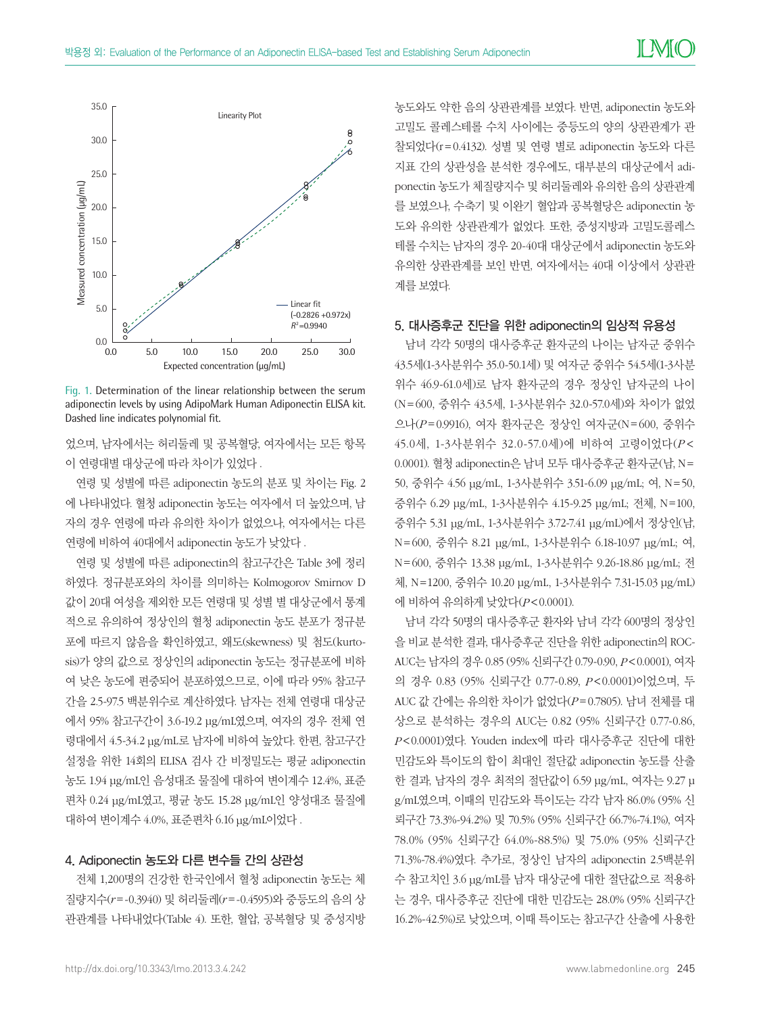

Fig. 1. Determination of the linear relationship between the serum adiponectin levels by using AdipoMark Human Adiponectin ELISA kit.

었으며, 남자에서는 허리둘레 및 공복혈당, 여자에서는 모든 항목 이 연령대별 대상군에 따라 차이가 있었다 .

연령 및 성별에 따른 adiponectin 농도의 분포 및 차이는 Fig. 2 에 나타내었다. 혈청 adiponectin 농도는 여자에서 더 높았으며, 남 자의 경우 연령에 따라 유의한 차이가 없었으나, 여자에서는 다른 연령에 비하여 40대에서 adiponectin 농도가 낮았다 .

연령 및 성별에 따른 adiponectin의 참고구간은 Table 3에 정리 하였다. 정규분포와의 차이를 의미하는 Kolmogorov Smirnov D 값이 20대 여성을 제외한 모든 연령대 및 성별 별 대상군에서 통계 적으로 유의하여 정상인의 혈청 adiponectin 농도 분포가 정규분 포에 따르지 않음을 확인하였고, 왜도(skewness) 및 첨도(kurtosis)가 양의 값으로 정상인의 adiponectin 농도는 정규분포에 비하 여 낮은 농도에 편중되어 분포하였으므로, 이에 따라 95% 참고구 간을 2.5-97.5 백분위수로 계산하였다. 남자는 전체 연령대 대상군 에서 95% 참고구간이 3.6-19.2 μg/mL였으며, 여자의 경우 전체 연 령대에서 4.5-34.2 μg/mL로 남자에 비하여 높았다. 한편, 참고구간 설정을 위한 14회의 ELISA 검사 간 비정밀도는 평균 adiponectin 농도 1.94 μg/mL인 음성대조 물질에 대하여 변이계수 12.4%, 표준 편차 0.24 μg/mL였고, 평균 농도 15.28 μg/mL인 양성대조 물질에 대하여 변이계수 4.0%, 표준편차 6.16 μg/mL이었다 .

# 4. Adiponectin 농도와 다른 변수들 간의 상관성

전체 1,200명의 건강한 한국인에서 혈청 adiponectin 농도는 체 질량지수(*r* =-0.3940) 및 허리둘레(*r* =-0.4595)와 중등도의 음의 상 관관계를 나타내었다(Table 4). 또한, 혈압, 공복혈당 및 중성지방

농도와도 약한 음의 상관관계를 보였다. 반면, adiponectin 농도와 고밀도 콜레스테롤 수치 사이에는 중등도의 양의 상관관계가 관 찰되었다(r=0.4132). 성별 및 연령 별로 adiponectin 농도와 다른 지표 간의 상관성을 분석한 경우에도, 대부분의 대상군에서 adiponectin 농도가 체질량지수 및 허리둘레와 유의한 음의 상관관계 를 보였으나, 수축기 및 이완기 혈압과 공복혈당은 adiponectin 농 도와 유의한 상관관계가 없었다. 또한, 중성지방과 고밀도콜레스 테롤 수치는 남자의 경우 20-40대 대상군에서 adiponectin 농도와 유의한 상관관계를 보인 반면, 여자에서는 40대 이상에서 상관관 계를 보였다.

#### 5. 대사증후군 진단을 위한 adiponectin의 임상적 유용성

남녀 각각 50명의 대사증후군 환자군의 나이는 남자군 중위수 43.5세(1-3사분위수 35.0-50.1세) 및 여자군 중위수 54.5세(1-3사분 위수 46.9-61.0세)로 남자 환자군의 경우 정상인 남자군의 나이 (N=600, 중위수 43.5세, 1-3사분위수 32.0-57.0세)와 차이가 없었 으나(*P* =0.9916), 여자 환자군은 정상인 여자군(N=600, 중위수 45.0세, 1-3사분위수 32.0-57.0세)에 비하여 고령이었다(*P* < 0.0001). 혈청 adiponectin은 남녀 모두 대사증후군 환자군(남, N= 50, 중위수 4.56 μg/mL, 1-3사분위수 3.51-6.09 μg/mL; 여, N=50, 중위수 6.29 μg/mL, 1-3사분위수 4.15-9.25 μg/mL; 전체, N=100, 중위수 5.31 μg/mL, 1-3사분위수 3.72-7.41 μg/mL)에서 정상인(남, N=600, 중위수 8.21 μg/mL, 1-3사분위수 6.18-10.97 μg/mL; 여, N=600, 중위수 13.38 μg/mL, 1-3사분위수 9.26-18.86 μg/mL; 전 체, N=1200, 중위수 10.20 μg/mL, 1-3사분위수 7.31-15.03 μg/mL) 에 비하여 유의하게 낮았다(*P*<0.0001).

남녀 각각 50명의 대사증후군 환자와 남녀 각각 600명의 정상인 을 비교 분석한 결과, 대사증후군 진단을 위한 adiponectin의 ROC-AUC는 남자의 경우 0.85 (95% 신뢰구간 0.79-0.90, *P*<0.0001), 여자 의 경우 0.83 (95% 신뢰구간 0.77-0.89, *P*<0.0001)이었으며, 두 AUC 값 간에는 유의한 차이가 없었다(*P* =0.7805). 남녀 전체를 대 상으로 분석하는 경우의 AUC는 0.82 (95% 신뢰구간 0.77-0.86, *P*<0.0001)였다. Youden index에 따라 대사증후군 진단에 대한 민감도와 특이도의 합이 최대인 절단값 adiponectin 농도를 산출 한 결과, 남자의 경우 최적의 절단값이 6.59 μg/mL, 여자는 9.27 μ g/mL였으며, 이때의 민감도와 특이도는 각각 남자 86.0% (95% 신 뢰구간 73.3%-94.2%) 및 70.5% (95% 신뢰구간 66.7%-74.1%), 여자 78.0% (95% 신뢰구간 64.0%-88.5%) 및 75.0% (95% 신뢰구간 71.3%-78.4%)였다. 추가로, 정상인 남자의 adiponectin 2.5백분위 수 참고치인 3.6 μg/mL를 남자 대상군에 대한 절단값으로 적용하 는 경우, 대사증후군 진단에 대한 민감도는 28.0% (95% 신뢰구간 16.2%-42.5%)로 낮았으며, 이때 특이도는 참고구간 산출에 사용한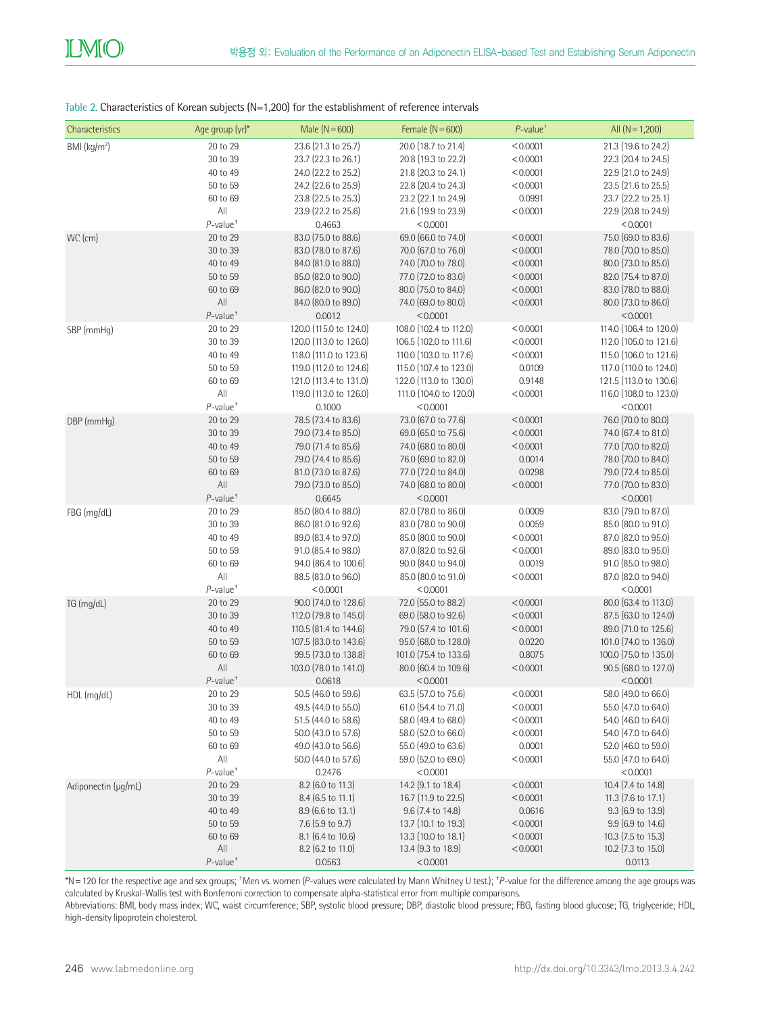# Table 2. Characteristics of Korean subjects (N=1,200) for the establishment of reference intervals

| Characteristics     | Age group (yr)*         | Male $(N = 600)$       | Female $(N = 600)$     | $P$ -value <sup>+</sup> | All $(N = 1,200)$      |
|---------------------|-------------------------|------------------------|------------------------|-------------------------|------------------------|
| BMI $(kg/m2)$       | 20 to 29                | 23.6 (21.3 to 25.7)    | 20.0 (18.7 to 21.4)    | < 0.0001                | 21.3 (19.6 to 24.2)    |
|                     | 30 to 39                | 23.7 (22.3 to 26.1)    | 20.8 (19.3 to 22.2)    | < 0.0001                | 22.3 (20.4 to 24.5)    |
|                     | 40 to 49                | 24.0 (22.2 to 25.2)    | 21.8 (20.3 to 24.1)    | < 0.0001                | 22.9 (21.0 to 24.9)    |
|                     | 50 to 59                | 24.2 (22.6 to 25.9)    | 22.8 (20.4 to 24.3)    | < 0.0001                | 23.5 (21.6 to 25.5)    |
|                     | 60 to 69                | 23.8 (22.5 to 25.3)    | 23.2 (22.1 to 24.9)    | 0.0991                  | 23.7 (22.2 to 25.1)    |
|                     | All                     | 23.9 (22.2 to 25.6)    | 21.6 (19.9 to 23.9)    | < 0.0001                | 22.9 (20.8 to 24.9)    |
|                     | $P$ -value <sup>+</sup> | 0.4663                 | < 0.0001               |                         | < 0.0001               |
| WC (cm)             | 20 to 29                | 83.0 (75.0 to 88.6)    | 69.0 (66.0 to 74.0)    | < 0.0001                | 75.0 (69.0 to 83.6)    |
|                     | 30 to 39                | 83.0 (78.0 to 87.6)    | 70.0 (67.0 to 76.0)    | < 0.0001                | 78.0 (70.0 to 85.0)    |
|                     | 40 to 49                | 84.0 (81.0 to 88.0)    | 74.0 (70.0 to 78.0)    | < 0.0001                | 80.0 (73.0 to 85.0)    |
|                     | 50 to 59                | 85.0 (82.0 to 90.0)    | 77.0 (72.0 to 83.0)    | < 0.0001                | 82.0 (75.4 to 87.0)    |
|                     | 60 to 69                | 86.0 (82.0 to 90.0)    | 80.0 (75.0 to 84.0)    | < 0.0001                | 83.0 (78.0 to 88.0)    |
|                     | All                     | 84.0 (80.0 to 89.0)    | 74.0 (69.0 to 80.0)    | < 0.0001                | 80.0 (73.0 to 86.0)    |
|                     | $P$ -value <sup>+</sup> | 0.0012                 | < 0.0001               |                         | < 0.0001               |
| SBP (mmHg)          | 20 to 29                | 120.0 (115.0 to 124.0) | 108.0 (102.4 to 112.0) | < 0.0001                | 114.0 (106.4 to 120.0) |
|                     | 30 to 39                | 120.0 (113.0 to 126.0) | 106.5 (102.0 to 111.6) | < 0.0001                | 112.0 (105.0 to 121.6) |
|                     | 40 to 49                | 118.0 (111.0 to 123.6) | 110.0 (103.0 to 117.6) | < 0.0001                | 115.0 (106.0 to 121.6) |
|                     | 50 to 59                | 119.0 (112.0 to 124.6) | 115.0 (107.4 to 123.0) | 0.0109                  | 117.0 (110.0 to 124.0) |
|                     | 60 to 69                | 121.0 (113.4 to 131.0) | 122.0 (113.0 to 130.0) | 0.9148                  | 121.5 (113.0 to 130.6) |
|                     | All                     | 119.0 (113.0 to 126.0) | 111.0 (104.0 to 120.0) | < 0.0001                | 116.0 (108.0 to 123.0) |
|                     | $P$ -value <sup>+</sup> | 0.1000                 | < 0.0001               |                         | < 0.0001               |
| DBP (mmHq)          | 20 to 29                | 78.5 (73.4 to 83.6)    | 73.0 (67.0 to 77.6)    | < 0.0001                | 76.0 (70.0 to 80.0)    |
|                     | 30 to 39                | 79.0 (73.4 to 85.0)    | 69.0 (65.0 to 75.6)    | < 0.0001                | 74.0 (67.4 to 81.0)    |
|                     | 40 to 49                | 79.0 (71.4 to 85.6)    | 74.0 (68.0 to 80.0)    | < 0.0001                | 77.0 (70.0 to 82.0)    |
|                     | 50 to 59                | 79.0 (74.4 to 85.6)    | 76.0 (69.0 to 82.0)    | 0.0014                  | 78.0 (70.0 to 84.0)    |
|                     | 60 to 69                | 81.0 (73.0 to 87.6)    | 77.0 (72.0 to 84.0)    | 0.0298                  | 79.0 (72.4 to 85.0)    |
|                     | All                     | 79.0 (73.0 to 85.0)    | 74.0 (68.0 to 80.0)    | < 0.0001                | 77.0 (70.0 to 83.0)    |
|                     | $P$ -value <sup>+</sup> | 0.6645                 | < 0.0001               |                         | < 0.0001               |
| FBG (mg/dL)         | 20 to 29                | 85.0 (80.4 to 88.0)    | 82.0 (78.0 to 86.0)    | 0.0009                  | 83.0 (79.0 to 87.0)    |
|                     | 30 to 39                | 86.0 (81.0 to 92.6)    | 83.0 (78.0 to 90.0)    | 0.0059                  | 85.0 (80.0 to 91.0)    |
|                     | 40 to 49                | 89.0 (83.4 to 97.0)    | 85.0 (80.0 to 90.0)    | < 0.0001                | 87.0 (82.0 to 95.0)    |
|                     | 50 to 59                | 91.0 (85.4 to 98.0)    | 87.0 (82.0 to 92.6)    | < 0.0001                | 89.0 (83.0 to 95.0)    |
|                     | 60 to 69                | 94.0 (86.4 to 100.6)   | 90.0 (84.0 to 94.0)    | 0.0019                  | 91.0 (85.0 to 98.0)    |
|                     | All                     | 88.5 (83.0 to 96.0)    | 85.0 (80.0 to 91.0)    | < 0.0001                | 87.0 (82.0 to 94.0)    |
|                     | $P$ -value <sup>+</sup> | < 0.0001               | < 0.0001               |                         | < 0.0001               |
| TG (mg/dL)          | 20 to 29                | 90.0 (74.0 to 128.6)   | 72.0 (55.0 to 88.2)    | < 0.0001                | 80.0 (63.4 to 113.0)   |
|                     | 30 to 39                | 112.0 (79.8 to 145.0)  | 69.0 (58.0 to 92.6)    | < 0.0001                | 87.5 (63.0 to 124.0)   |
|                     | 40 to 49                | 110.5 (81.4 to 144.6)  | 79.0 (57.4 to 101.6)   | < 0.0001                | 89.0 (71.0 to 125.6)   |
|                     | 50 to 59                | 107.5 (83.0 to 143.6)  | 95.0 (68.0 to 128.0)   | 0.0220                  | 101.0 (74.0 to 136.0)  |
|                     | 60 to 69                | 99.5 (73.0 to 138.8)   | 101.0 (75.4 to 133.6)  | 0.8075                  | 100.0 (75.0 to 135.0)  |
|                     | All                     | 103.0 (78.0 to 141.0)  | 80.0 (60.4 to 109.6)   | < 0.0001                | 90.5 (68.0 to 127.0)   |
|                     | $P$ -value <sup>+</sup> | 0.0618                 | < 0.0001               |                         | < 0.0001               |
| HDL (mg/dL)         | 20 to 29                | 50.5 (46.0 to 59.6)    | 63.5 (57.0 to 75.6)    | < 0.0001                | 58.0 (49.0 to 66.0)    |
|                     | 30 to 39                | 49.5 (44.0 to 55.0)    | 61.0 (54.4 to 71.0)    | < 0.0001                | 55.0 (47.0 to 64.0)    |
|                     | 40 to 49                | 51.5 (44.0 to 58.6)    | 58.0 (49.4 to 68.0)    | < 0.0001                | 54.0 (46.0 to 64.0)    |
|                     | 50 to 59                | 50.0 (43.0 to 57.6)    | 58.0 (52.0 to 66.0)    | < 0.0001                | 54.0 (47.0 to 64.0)    |
|                     | 60 to 69                | 49.0 (43.0 to 56.6)    | 55.0 (49.0 to 63.6)    | 0.0001                  | 52.0 (46.0 to 59.0)    |
|                     | All                     | 50.0 (44.0 to 57.6)    | 59.0 (52.0 to 69.0)    | < 0.0001                | 55.0 (47.0 to 64.0)    |
|                     | $P$ -value <sup>+</sup> | 0.2476                 | < 0.0001               |                         | < 0.0001               |
| Adiponectin (µg/mL) | 20 to 29                | 8.2 (6.0 to 11.3)      | 14.2 (9.1 to 18.4)     | < 0.0001                | 10.4 (7.4 to 14.8)     |
|                     | 30 to 39                | 8.4 (6.5 to 11.1)      | 16.7 (11.9 to 22.5)    | < 0.0001                | 11.3 (7.6 to 17.1)     |
|                     | 40 to 49                | $8.9$ (6.6 to 13.1)    | $9.6$ (7.4 to 14.8)    | 0.0616                  | $9.3$ (6.9 to 13.9)    |
|                     | 50 to 59                | 7.6 (5.9 to 9.7)       | 13.7 (10.1 to 19.3)    | < 0.0001                | 9.9 (6.9 to 14.6)      |
|                     | 60 to 69                | 8.1 (6.4 to 10.6)      | 13.3 (10.0 to 18.1)    | < 0.0001                | 10.3 (7.5 to 15.3)     |
|                     | All                     | 8.2 (6.2 to 11.0)      | 13.4 (9.3 to 18.9)     | < 0.0001                | 10.2 (7.3 to 15.0)     |
|                     | $P$ -value <sup>+</sup> | 0.0563                 | < 0.0001               |                         | 0.0113                 |

\*N=120 for the respective age and sex groups; † Men vs. women (*P*-values were calculated by Mann Whitney U test.); ‡ *P*-value for the difference among the age groups was calculated by Kruskal-Wallis test with Bonferroni correction to compensate alpha-statistical error from multiple comparisons.

Abbreviations: BMI, body mass index; WC, waist circumference; SBP, systolic blood pressure; DBP, diastolic blood pressure; FBG, fasting blood glucose; TG, triglyceride; HDL, high-density lipoprotein cholesterol.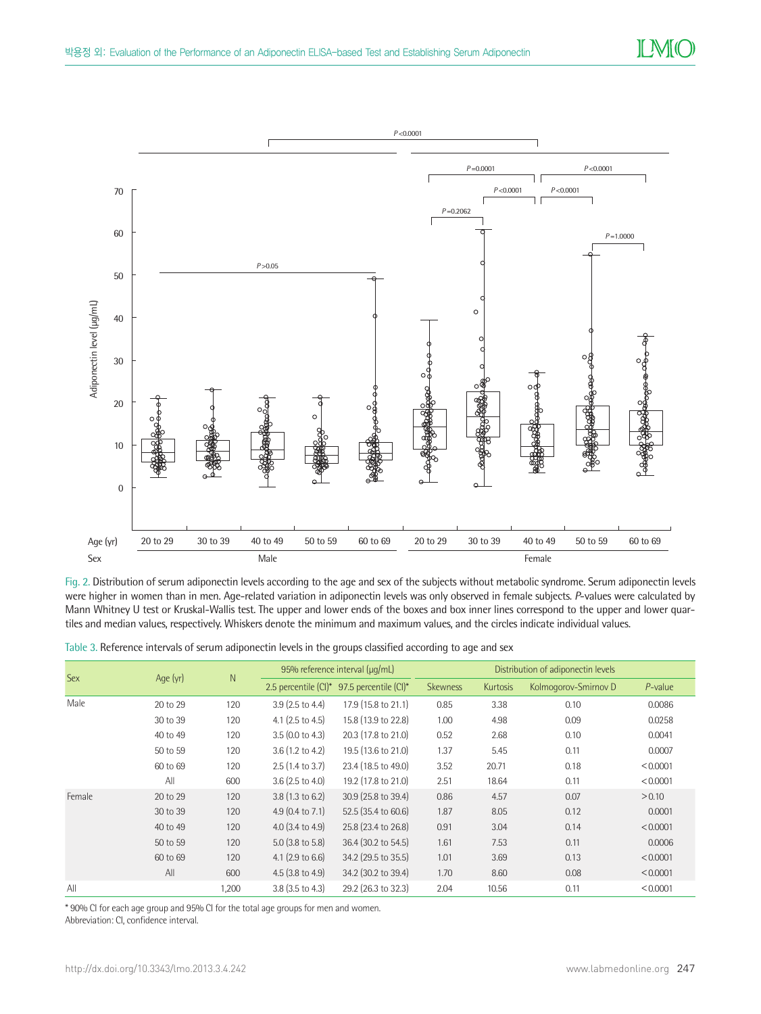

Fig. 2. Distribution of serum adiponectin levels according to the age and sex of the subjects without metabolic syndrome. Serum adiponectin levels were higher in women than in men. Age-related variation in adiponectin levels was only observed in female subjects. *P*-values were calculated by Mann Whitney U test or Kruskal-Wallis test. The upper and lower ends of the boxes and box inner lines correspond to the upper and lower quartiles and median values, respectively. Whiskers denote the minimum and maximum values, and the circles indicate individual values.

Table 3. Reference intervals of serum adiponectin levels in the groups classified according to age and sex

| <b>Sex</b> |          | $\mathsf{N}$ | 95% reference interval (µg/mL) |                       | Distribution of adiponectin levels |          |                      |            |
|------------|----------|--------------|--------------------------------|-----------------------|------------------------------------|----------|----------------------|------------|
|            | Age (yr) |              | 2.5 percentile (CI)*           | 97.5 percentile (CI)* | <b>Skewness</b>                    | Kurtosis | Kolmogorov-Smirnov D | $P$ -value |
| Male       | 20 to 29 | 120          | 3.9 (2.5 to 4.4)               | 17.9 (15.8 to 21.1)   | 0.85                               | 3.38     | 0.10                 | 0.0086     |
|            | 30 to 39 | 120          | 4.1 $(2.5 \text{ to } 4.5)$    | 15.8 (13.9 to 22.8)   | 1.00                               | 4.98     | 0.09                 | 0.0258     |
|            | 40 to 49 | 120          | $3.5(0.0 \text{ to } 4.3)$     | 20.3 (17.8 to 21.0)   | 0.52                               | 2.68     | 0.10                 | 0.0041     |
|            | 50 to 59 | 120          | $3.6(1.2 \text{ to } 4.2)$     | 19.5 (13.6 to 21.0)   | 1.37                               | 5.45     | 0.11                 | 0.0007     |
|            | 60 to 69 | 120          | $2.5(1.4 \text{ to } 3.7)$     | 23.4 (18.5 to 49.0)   | 3.52                               | 20.71    | 0.18                 | < 0.0001   |
|            | All      | 600          | $3.6$ (2.5 to 4.0)             | 19.2 (17.8 to 21.0)   | 2.51                               | 18.64    | 0.11                 | < 0.0001   |
| Female     | 20 to 29 | 120          | $3.8(1.3 \text{ to } 6.2)$     | 30.9 (25.8 to 39.4)   | 0.86                               | 4.57     | 0.07                 | > 0.10     |
|            | 30 to 39 | 120          | 4.9 $(0.4 \text{ to } 7.1)$    | 52.5 (35.4 to 60.6)   | 1.87                               | 8.05     | 0.12                 | 0.0001     |
|            | 40 to 49 | 120          | 4.0 $(3.4 \text{ to } 4.9)$    | 25.8 (23.4 to 26.8)   | 0.91                               | 3.04     | 0.14                 | < 0.0001   |
|            | 50 to 59 | 120          | $5.0$ (3.8 to $5.8$ )          | 36.4 (30.2 to 54.5)   | 1.61                               | 7.53     | 0.11                 | 0.0006     |
|            | 60 to 69 | 120          | 4.1 $(2.9 \text{ to } 6.6)$    | 34.2 (29.5 to 35.5)   | 1.01                               | 3.69     | 0.13                 | < 0.0001   |
|            | All      | 600          | $4.5$ (3.8 to 4.9)             | 34.2 (30.2 to 39.4)   | 1.70                               | 8.60     | 0.08                 | < 0.0001   |
| All        |          | 1,200        | $3.8$ (3.5 to 4.3)             | 29.2 (26.3 to 32.3)   | 2.04                               | 10.56    | 0.11                 | < 0.0001   |

\* 90% CI for each age group and 95% CI for the total age groups for men and women. Abbreviation: CI, confidence interval.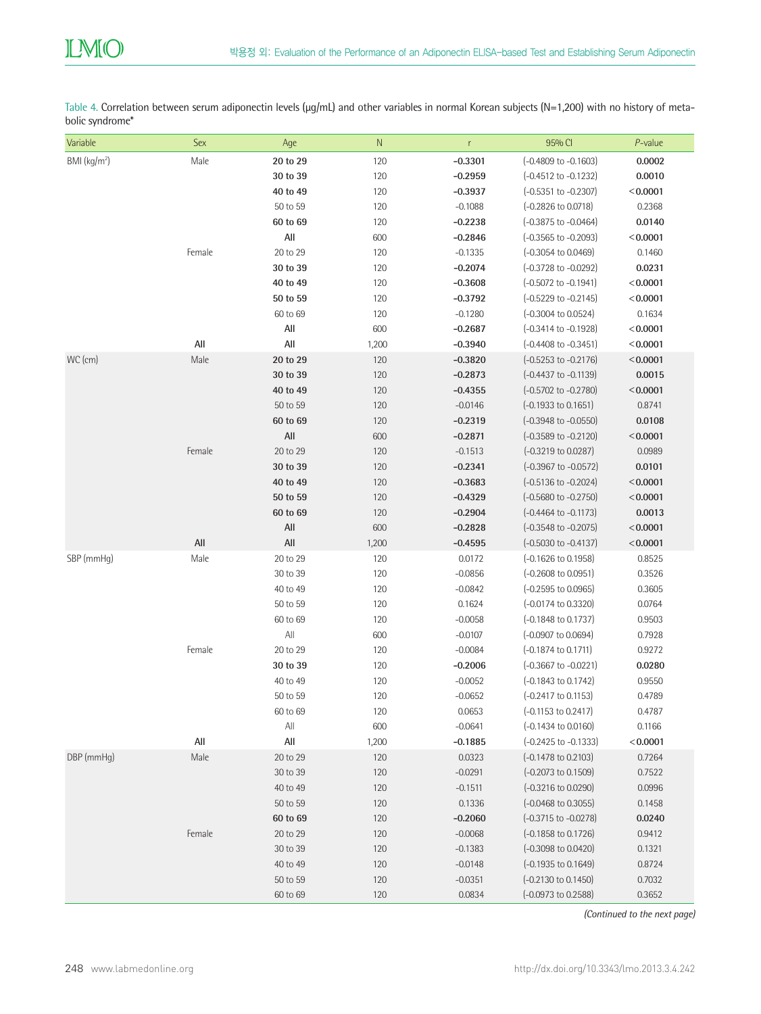Table 4. Correlation between serum adiponectin levels (µg/mL) and other variables in normal Korean subjects (N=1,200) with no history of metabolic syndrome\*

| Variable                 | Sex            | Age            | ${\sf N}$ | r         | 95% CI                          | P-value  |
|--------------------------|----------------|----------------|-----------|-----------|---------------------------------|----------|
| BMI (kg/m <sup>2</sup> ) | Male           | 20 to 29       | 120       | $-0.3301$ | $(-0.4809 \text{ to } -0.1603)$ | 0.0002   |
|                          |                | 30 to 39       | 120       | $-0.2959$ | $(-0.4512 \text{ to } -0.1232)$ | 0.0010   |
|                          |                | 40 to 49       | 120       | $-0.3937$ | $(-0.5351$ to $-0.2307)$        | < 0.0001 |
|                          |                | 50 to 59       | 120       | $-0.1088$ | $(-0.2826 \text{ to } 0.0718)$  | 0.2368   |
|                          |                | 60 to 69       | 120       | $-0.2238$ | $(-0.3875 \text{ to } -0.0464)$ | 0.0140   |
|                          |                | All            | 600       | $-0.2846$ | $(-0.3565 \text{ to } -0.2093)$ | < 0.0001 |
|                          | Female         | 20 to 29       | 120       | $-0.1335$ | $(-0.3054 \text{ to } 0.0469)$  | 0.1460   |
|                          |                | 30 to 39       | 120       | $-0.2074$ | $(-0.3728 \text{ to } -0.0292)$ | 0.0231   |
|                          |                | 40 to 49       | 120       | $-0.3608$ | $(-0.5072 \text{ to } -0.1941)$ | < 0.0001 |
|                          |                | 50 to 59       | 120       | $-0.3792$ | (-0.5229 to -0.2145)            | < 0.0001 |
|                          |                | 60 to 69       | 120       | $-0.1280$ | $(-0.3004 \text{ to } 0.0524)$  | 0.1634   |
|                          |                | All            | 600       | $-0.2687$ | $(-0.3414 \text{ to } -0.1928)$ | < 0.0001 |
|                          | $\mathsf{All}$ | All            | 1,200     | $-0.3940$ | $(-0.4408 \text{ to } -0.3451)$ | < 0.0001 |
| WC (cm)                  | Male           | 20 to 29       | 120       | $-0.3820$ | $(-0.5253$ to $-0.2176)$        | < 0.0001 |
|                          |                | 30 to 39       | 120       | $-0.2873$ | (-0.4437 to -0.1139)            | 0.0015   |
|                          |                | 40 to 49       | 120       | $-0.4355$ | $(-0.5702 \text{ to } -0.2780)$ | < 0.0001 |
|                          |                | 50 to 59       | 120       | $-0.0146$ | (-0.1933 to 0.1651)             | 0.8741   |
|                          |                | 60 to 69       | 120       | $-0.2319$ | (-0.3948 to -0.0550)            | 0.0108   |
|                          |                | All            | 600       | $-0.2871$ | (-0.3589 to -0.2120)            | < 0.0001 |
|                          | Female         | 20 to 29       | 120       | $-0.1513$ | $(-0.3219 \text{ to } 0.0287)$  | 0.0989   |
|                          |                | 30 to 39       | 120       | $-0.2341$ | $(-0.3967 \text{ to } -0.0572)$ | 0.0101   |
|                          |                | 40 to 49       | 120       | $-0.3683$ | $(-0.5136 \text{ to } -0.2024)$ | < 0.0001 |
|                          |                | 50 to 59       | 120       | $-0.4329$ | $(-0.5680 \text{ to } -0.2750)$ | < 0.0001 |
|                          |                | 60 to 69       | 120       | $-0.2904$ | $(-0.4464 \text{ to } -0.1173)$ | 0.0013   |
|                          |                | All            | 600       | $-0.2828$ | $(-0.3548 \text{ to } -0.2075)$ | < 0.0001 |
|                          | All            | All            | 1,200     | $-0.4595$ | $(-0.5030 \text{ to } -0.4137)$ | < 0.0001 |
| SBP (mmHg)               | Male           | 20 to 29       | 120       | 0.0172    | $(-0.1626 \text{ to } 0.1958)$  | 0.8525   |
|                          |                | 30 to 39       | 120       | $-0.0856$ | $(-0.2608 \text{ to } 0.0951)$  | 0.3526   |
|                          |                | 40 to 49       | 120       | $-0.0842$ | $(-0.2595 \text{ to } 0.0965)$  | 0.3605   |
|                          |                | 50 to 59       | 120       | 0.1624    | $(-0.0174 \text{ to } 0.3320)$  | 0.0764   |
|                          |                | 60 to 69       | 120       | $-0.0058$ | $(-0.1848 \text{ to } 0.1737)$  | 0.9503   |
|                          |                | $\mathsf{All}$ | 600       | $-0.0107$ | $(-0.0907 \text{ to } 0.0694)$  | 0.7928   |
|                          | Female         | 20 to 29       | 120       | $-0.0084$ | $(-0.1874 \text{ to } 0.1711)$  | 0.9272   |
|                          |                | 30 to 39       | 120       | $-0.2006$ | $(-0.3667 \text{ to } -0.0221)$ | 0.0280   |
|                          |                | 40 to 49       | 120       | $-0.0052$ | $(-0.1843 \text{ to } 0.1742)$  | 0.9550   |
|                          |                | 50 to 59       | 120       | $-0.0652$ | $(-0.2417 \text{ to } 0.1153)$  | 0.4789   |
|                          |                | 60 to 69       | 120       | 0.0653    | (-0.1153 to 0.2417)             | 0.4787   |
|                          |                | $\mathsf{All}$ | 600       | $-0.0641$ | $(-0.1434 \text{ to } 0.0160)$  | 0.1166   |
|                          | $\mathsf{All}$ | All            | 1,200     | $-0.1885$ | (-0.2425 to -0.1333)            | < 0.0001 |
| DBP (mmHq)               | Male           | 20 to 29       | 120       | 0.0323    | $(-0.1478 \text{ to } 0.2103)$  | 0.7264   |
|                          |                | 30 to 39       | 120       | $-0.0291$ | (-0.2073 to 0.1509)             | 0.7522   |
|                          |                | 40 to 49       | 120       | $-0.1511$ | $(-0.3216 \text{ to } 0.0290)$  | 0.0996   |
|                          |                | 50 to 59       | 120       | 0.1336    | $(-0.0468 \text{ to } 0.3055)$  | 0.1458   |
|                          |                | 60 to 69       | 120       | $-0.2060$ | $(-0.3715 \text{ to } -0.0278)$ | 0.0240   |
|                          | Female         | 20 to 29       | 120       | $-0.0068$ | $(-0.1858 \text{ to } 0.1726)$  | 0.9412   |
|                          |                | 30 to 39       | 120       | $-0.1383$ | (-0.3098 to 0.0420)             | 0.1321   |
|                          |                | 40 to 49       | 120       | $-0.0148$ | $(-0.1935 \text{ to } 0.1649)$  | 0.8724   |
|                          |                | 50 to 59       | 120       | $-0.0351$ | $(-0.2130 \text{ to } 0.1450)$  | 0.7032   |
|                          |                | 60 to 69       | 120       | 0.0834    | (-0.0973 to 0.2588)             | 0.3652   |

*(Continued to the next page)*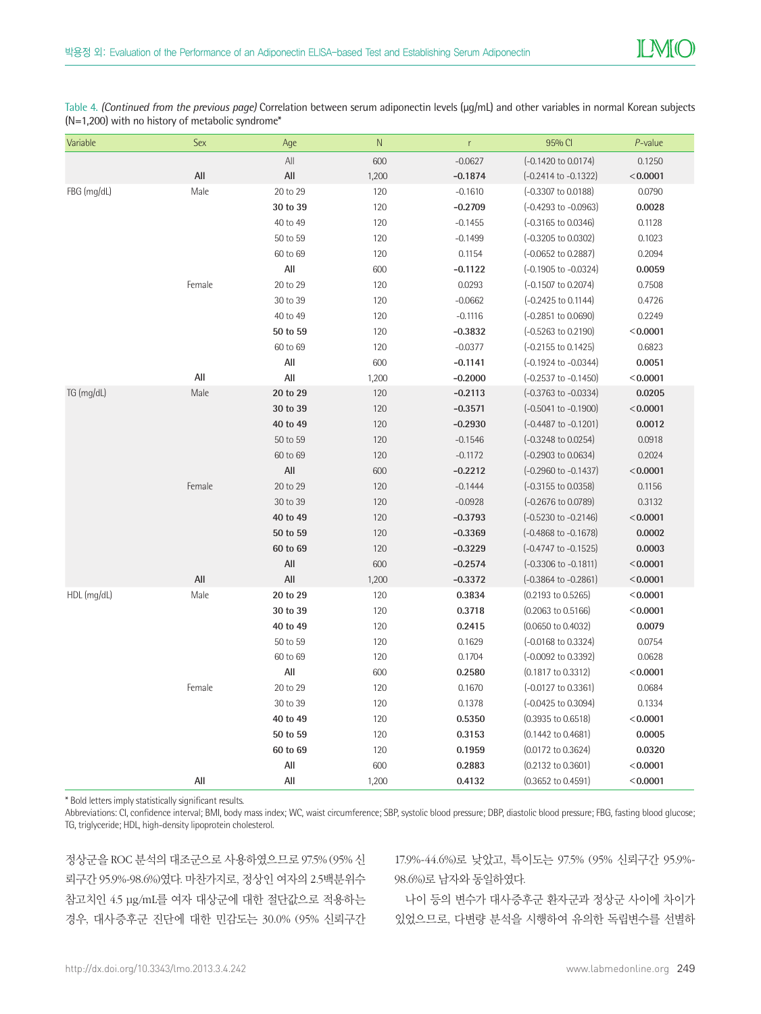Table 4. *(Continued from the previous page)* Correlation between serum adiponectin levels (μg/mL) and other variables in normal Korean subjects  $(N=1,200)$  with no history of metabolic syndrome\*

| Variable      | Sex    | Age      | $\mathsf{N}$ | $\mathsf{r}$ | 95% CI                          | P-value  |
|---------------|--------|----------|--------------|--------------|---------------------------------|----------|
|               |        | All      | 600          | $-0.0627$    | (-0.1420 to 0.0174)             | 0.1250   |
|               | All    | All      | 1,200        | $-0.1874$    | $(-0.2414 \text{ to } -0.1322)$ | < 0.0001 |
| FBG (mg/dL)   | Male   | 20 to 29 | 120          | $-0.1610$    | $(-0.3307 \text{ to } 0.0188)$  | 0.0790   |
|               |        | 30 to 39 | 120          | $-0.2709$    | $(-0.4293 \text{ to } -0.0963)$ | 0.0028   |
|               |        | 40 to 49 | 120          | $-0.1455$    | $(-0.3165 \text{ to } 0.0346)$  | 0.1128   |
|               |        | 50 to 59 | 120          | $-0.1499$    | $(-0.3205 \text{ to } 0.0302)$  | 0.1023   |
|               |        | 60 to 69 | 120          | 0.1154       | $(-0.0652 \text{ to } 0.2887)$  | 0.2094   |
|               |        | All      | 600          | $-0.1122$    | $(-0.1905 \text{ to } -0.0324)$ | 0.0059   |
|               | Female | 20 to 29 | 120          | 0.0293       | $(-0.1507)$ to 0.2074)          | 0.7508   |
|               |        | 30 to 39 | 120          | $-0.0662$    | $(-0.2425 \text{ to } 0.1144)$  | 0.4726   |
|               |        | 40 to 49 | 120          | $-0.1116$    | $(-0.2851$ to $0.0690)$         | 0.2249   |
|               |        | 50 to 59 | 120          | $-0.3832$    | $(-0.5263 \text{ to } 0.2190)$  | < 0.0001 |
|               |        | 60 to 69 | 120          | $-0.0377$    | $(-0.2155 \text{ to } 0.1425)$  | 0.6823   |
|               |        | All      | 600          | $-0.1141$    | $(-0.1924 \text{ to } -0.0344)$ | 0.0051   |
|               | All    | All      | 1,200        | $-0.2000$    | $(-0.2537$ to $-0.1450)$        | < 0.0001 |
| TG (mg/dL)    | Male   | 20 to 29 | 120          | $-0.2113$    | $(-0.3763 \text{ to } -0.0334)$ | 0.0205   |
|               |        | 30 to 39 | 120          | $-0.3571$    | $(-0.5041 \text{ to } -0.1900)$ | < 0.0001 |
|               |        | 40 to 49 | 120          | $-0.2930$    | $(-0.4487 \text{ to } -0.1201)$ | 0.0012   |
|               |        | 50 to 59 | 120          | $-0.1546$    | $(-0.3248 \text{ to } 0.0254)$  | 0.0918   |
|               |        | 60 to 69 | 120          | $-0.1172$    | $(-0.2903 \text{ to } 0.0634)$  | 0.2024   |
|               |        | All      | 600          | $-0.2212$    | $(-0.2960 \text{ to } -0.1437)$ | < 0.0001 |
|               | Female | 20 to 29 | 120          | $-0.1444$    | $(-0.3155 \text{ to } 0.0358)$  | 0.1156   |
|               |        | 30 to 39 | 120          | $-0.0928$    | $(-0.2676 \text{ to } 0.0789)$  | 0.3132   |
|               |        | 40 to 49 | 120          | $-0.3793$    | $(-0.5230 \text{ to } -0.2146)$ | < 0.0001 |
|               |        | 50 to 59 | 120          | $-0.3369$    | $(-0.4868 \text{ to } -0.1678)$ | 0.0002   |
|               |        | 60 to 69 | 120          | $-0.3229$    | $(-0.4747 \text{ to } -0.1525)$ | 0.0003   |
|               |        | All      | 600          | $-0.2574$    | $(-0.3306 \text{ to } -0.1811)$ | < 0.0001 |
|               | All    | All      | 1,200        | $-0.3372$    | $(-0.3864 \text{ to } -0.2861)$ | < 0.0001 |
| $HDL$ (mg/dL) | Male   | 20 to 29 | 120          | 0.3834       | $(0.2193 \text{ to } 0.5265)$   | < 0.0001 |
|               |        | 30 to 39 | 120          | 0.3718       | $(0.2063 \text{ to } 0.5166)$   | < 0.0001 |
|               |        | 40 to 49 | 120          | 0.2415       | $(0.0650 \text{ to } 0.4032)$   | 0.0079   |
|               |        | 50 to 59 | 120          | 0.1629       | $(-0.0168 \text{ to } 0.3324)$  | 0.0754   |
|               |        | 60 to 69 | 120          | 0.1704       | $(-0.0092 \text{ to } 0.3392)$  | 0.0628   |
|               |        | All      | 600          | 0.2580       | $(0.1817 \text{ to } 0.3312)$   | < 0.0001 |
|               | Female | 20 to 29 | 120          | 0.1670       | $(-0.0127 \text{ to } 0.3361)$  | 0.0684   |
|               |        | 30 to 39 | 120          | 0.1378       | $(-0.0425 \text{ to } 0.3094)$  | 0.1334   |
|               |        | 40 to 49 | 120          | 0.5350       | $(0.3935 \text{ to } 0.6518)$   | < 0.0001 |
|               |        | 50 to 59 | 120          | 0.3153       | $(0.1442 \text{ to } 0.4681)$   | 0.0005   |
|               |        | 60 to 69 | 120          | 0.1959       | $(0.0172 \text{ to } 0.3624)$   | 0.0320   |
|               |        | All      | 600          | 0.2883       | $(0.2132 \text{ to } 0.3601)$   | < 0.0001 |
|               | All    | All      | 1,200        | 0.4132       | $(0.3652 \text{ to } 0.4591)$   | < 0.0001 |

\* Bold letters imply statistically significant results.

Abbreviations: CI, confidence interval; BMI, body mass index; WC, waist circumference; SBP, systolic blood pressure; DBP, diastolic blood pressure; FBG, fasting blood glucose; TG, triglyceride; HDL, high-density lipoprotein cholesterol.

정상군을 ROC 분석의 대조군으로 사용하였으므로 97.5% (95% 신 뢰구간 95.9%-98.6%)였다. 마찬가지로, 정상인 여자의 2.5백분위수 참고치인 4.5 μg/mL를 여자 대상군에 대한 절단값으로 적용하는 경우, 대사증후군 진단에 대한 민감도는 30.0% (95% 신뢰구간 17.9%-44.6%)로 낮았고, 특이도는 97.5% (95% 신뢰구간 95.9%- 98.6%)로 남자와 동일하였다.

나이 등의 변수가 대사증후군 환자군과 정상군 사이에 차이가 있었으므로, 다변량 분석을 시행하여 유의한 독립변수를 선별하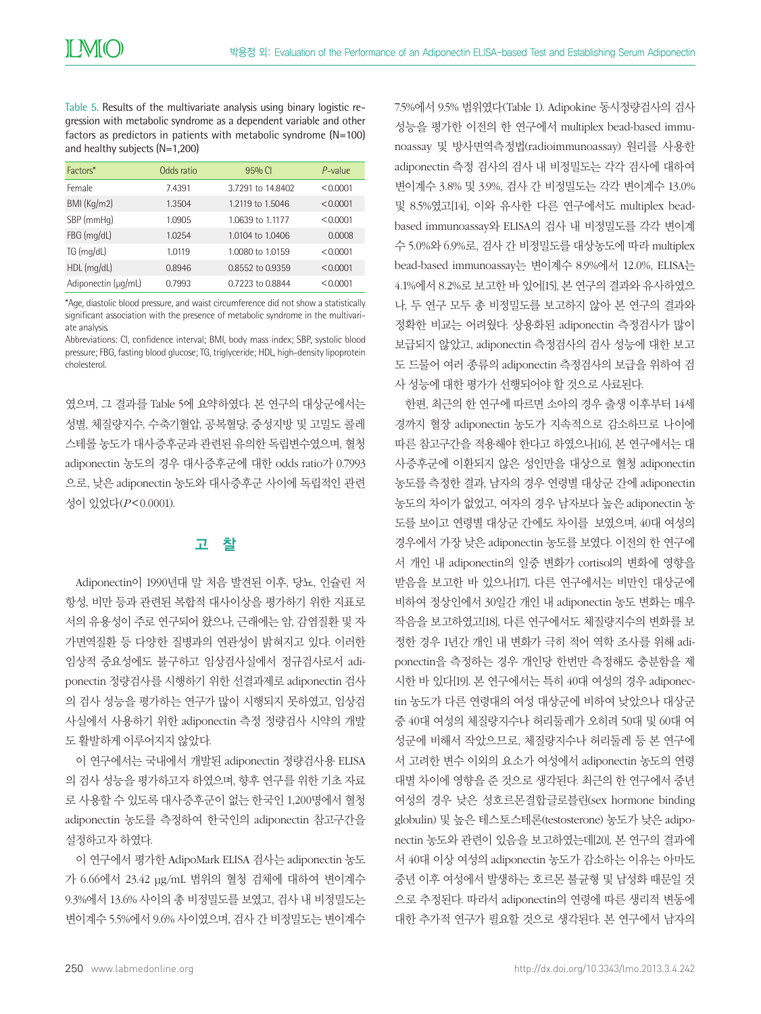Table 5. Results of the multivariate analysis using binary logistic regression with metabolic syndrome as a dependent variable and other factors as predictors in patients with metabolic syndrome (N=100) and healthy subjects (N=1,200)

| Factors*            | Odds ratio | 95% CI            | $P$ -value |
|---------------------|------------|-------------------|------------|
| Female              | 7.4391     | 3.7291 to 14.8402 | < 0.0001   |
| BMI (Kg/m2)         | 1.3504     | 1.2119 to 1.5046  | < 0.0001   |
| SBP (mmHq)          | 1.0905     | 1.0639 to 1.1177  | < 0.0001   |
| FBG (mg/dL)         | 1.0254     | 1.0104 to 1.0406  | 0.0008     |
| TG (mq/dL)          | 1.0119     | 1.0080 to 1.0159  | < 0.0001   |
| HDL (mg/dL)         | 0.8946     | 0.8552 to 0.9359  | < 0.0001   |
| Adiponectin (µq/mL) | 0.7993     | 0.7223 to 0.8844  | < 0.0001   |

\*Age, diastolic blood pressure, and waist circumference did not show a statistically significant association with the presence of metabolic syndrome in the multivariate analysis.

Abbreviations: CI, confidence interval; BMI, body mass index; SBP, systolic blood pressure; FBG, fasting blood glucose; TG, triglyceride; HDL, high-density lipoprotein cholesterol.

였으며, 그 결과를 Table 5에 요약하였다. 본 연구의 대상군에서는 성별, 체질량지수, 수축기혈압, 공복혈당, 중성지방 및 고밀도 콜레 스테롤 농도가 대사증후군과 관련된 유의한 독립변수였으며, 혈청 adiponectin 농도의 경우 대사증후군에 대한 odds ratio가 0.7993 으로, 낮은 adiponectin 농도와 대사증후군 사이에 독립적인 관련 성이 있었다(*P*<0.0001).

# 고 착

Adiponectin이 1990년대 말 처음 발견된 이후, 당뇨, 인슐린 저 항성, 비만 등과 관련된 복합적 대사이상을 평가하기 위한 지표로 서의 유용성이 주로 연구되어 왔으나, 근래에는 암, 감염질환 및 자 가면역질환 등 다양한 질병과의 연관성이 밝혀지고 있다. 이러한 임상적 중요성에도 불구하고 임상검사실에서 정규검사로서 adiponectin 정량검사를 시행하기 위한 선결과제로 adiponectin 검사 의 검사 성능을 평가하는 연구가 많이 시행되지 못하였고, 임상검 사실에서 사용하기 위한 adiponectin 측정 정량검사 시약의 개발 도 활발하게 이루어지지 않았다.

이 연구에서는 국내에서 개발된 adiponectin 정량검사용 ELISA 의 검사 성능을 평가하고자 하였으며, 향후 연구를 위한 기초 자료 로 사용할 수 있도록 대사증후군이 없는 한국인 1,200명에서 혈청 adiponectin 농도를 측정하여 한국인의 adiponectin 참고구간을 설정하고자 하였다.

이 연구에서 평가한 AdipoMark ELISA 검사는 adiponectin 농도 가 6.66에서 23.42 μg/mL 범위의 혈청 검체에 대하여 변이계수 9.3%에서 13.6% 사이의 총 비정밀도를 보였고, 검사 내 비정밀도는 변이계수 5.5%에서 9.6% 사이였으며, 검사 간 비정밀도는 변이계수 7.5%에서 9.5% 범위였다(Table 1). Adipokine 동시정량검사의 검사 성능을 평가한 이전의 한 연구에서 multiplex bead-based immunoassay 및 방사면역측정법(radioimmunoassay) 원리를 사용한 adiponectin 측정 검사의 검사 내 비정밀도는 각각 검사에 대하여 변이계수 3.8% 및 3.9%, 검사 간 비정밀도는 각각 변이계수 13.0% 및 8.5%였고[14], 이와 유사한 다른 연구에서도 multiplex beadbased immunoassay와 ELISA의 검사 내 비정밀도를 각각 변이계 수 5.0%와 6.9%로, 검사 간 비정밀도를 대상농도에 따라 multiplex bead-based immunoassay는 변이계수 8.9%에서 12.0%, ELISA는 4.1%에서 8.2%로 보고한 바 있어[15], 본 연구의 결과와 유사하였으 나, 두 연구 모두 총 비정밀도를 보고하지 않아 본 연구의 결과와 정확한 비교는 어려웠다. 상용화된 adiponectin 측정검사가 많이 보급되지 않았고, adiponectin 측정검사의 검사 성능에 대한 보고 도 드물어 여러 종류의 adiponectin 측정검사의 보급을 위하여 검 사 성능에 대한 평가가 선행되어야 할 것으로 사료된다.

한편, 최근의 한 연구에 따르면 소아의 경우 출생 이후부터 14세 경까지 혈장 adiponectin 농도가 지속적으로 감소하므로 나이에 따른 참고구간을 적용해야 한다고 하였으나[16], 본 연구에서는 대 사증후군에 이환되지 않은 성인만을 대상으로 혈청 adiponectin 농도를 측정한 결과, 남자의 경우 연령별 대상군 간에 adiponectin 농도의 차이가 없었고, 여자의 경우 남자보다 높은 adiponectin 농 도를 보이고 연령별 대상군 간에도 차이를 보였으며, 40대 여성의 경우에서 가장 낮은 adiponectin 농도를 보였다. 이전의 한 연구에 서 개인 내 adiponectin의 일중 변화가 cortisol의 변화에 영향을 받음을 보고한 바 있으나[17], 다른 연구에서는 비만인 대상군에 비하여 정상인에서 30일간 개인 내 adiponectin 농도 변화는 매우 작음을 보고하였고[18], 다른 연구에서도 체질량지수의 변화를 보 정한 경우 1년간 개인 내 변화가 극히 적어 역학 조사를 위해 adiponectin을 측정하는 경우 개인당 한번만 측정해도 충분함을 제 시한 바 있다[19]. 본 연구에서는 특히 40대 여성의 경우 adiponectin 농도가 다른 연령대의 여성 대상군에 비하여 낮았으나 대상군 중 40대 여성의 체질량지수나 허리둘레가 오히려 50대 및 60대 여 성군에 비해서 작았으므로, 체질량지수나 허리둘레 등 본 연구에 서 고려한 변수 이외의 요소가 여성에서 adiponectin 농도의 연령 대별 차이에 영향을 준 것으로 생각된다. 최근의 한 연구에서 중년 여성의 경우 낮은 성호르몬결합글로블린(sex hormone binding globulin) 및 높은 테스토스테론(testosterone) 농도가 낮은 adiponectin 농도와 관련이 있음을 보고하였는데[20], 본 연구의 결과에 서 40대 이상 여성의 adiponectin 농도가 감소하는 이유는 아마도 중년 이후 여성에서 발생하는 호르몬 불균형 및 남성화 때문일 것 으로 추정된다. 따라서 adiponectin의 연령에 따른 생리적 변동에 대한 추가적 연구가 필요할 것으로 생각된다. 본 연구에서 남자의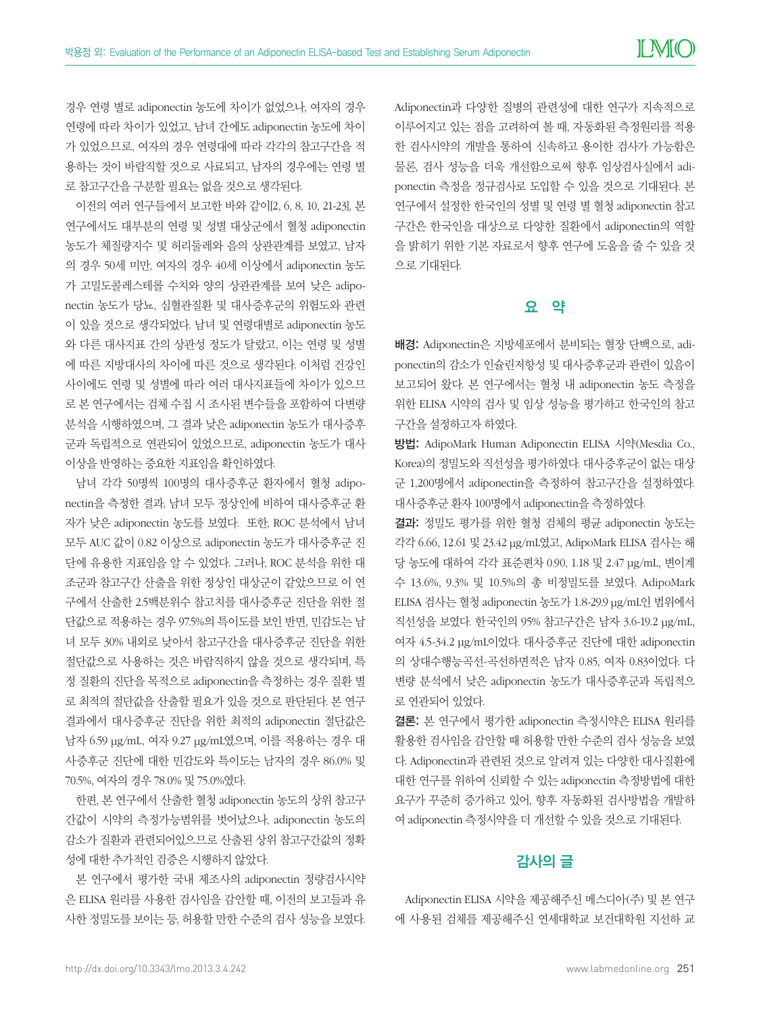경우 연령 별로 adiponectin 농도에 차이가 없었으나, 여자의 경우 연령에 따라 차이가 있었고, 남녀 간에도 adiponectin 농도에 차이 가 있었으므로, 여자의 경우 연령대에 따라 각각의 참고구간을 적 용하는 것이 바람직할 것으로 사료되고, 남자의 경우에는 연령 별 로 참고구간을 구분할 필요는 없을 것으로 생각된다.

이전의 여러 연구들에서 보고한 바와 같이[2, 6, 8, 10, 21-23], 본 연구에서도 대부분의 연령 및 성별 대상군에서 혈청 adiponectin 농도가 체질량지수 및 허리둘레와 음의 상관관계를 보였고, 남자 의 경우 50세 미만, 여자의 경우 40세 이상에서 adiponectin 농도 가 고밀도콜레스테롤 수치와 양의 상관관계를 보여 낮은 adiponectin 농도가 당뇨, 심혈관질환 및 대사증후군의 위험도와 관련 이 있을 것으로 생각되었다. 남녀 및 연령대별로 adiponectin 농도 와 다른 대사지표 간의 상관성 정도가 달랐고, 이는 연령 및 성별 에 따른 지방대사의 차이에 따른 것으로 생각된다. 이처럼 건강인 사이에도 연령 및 성별에 따라 여러 대사지표들에 차이가 있으므 로 본 연구에서는 검체 수집 시 조사된 변수들을 포함하여 다변량 분석을 시행하였으며, 그 결과 낮은 adiponectin 농도가 대사증후 군과 독립적으로 연관되어 있었으므로, adiponectin 농도가 대사 이상을 반영하는 중요한 지표임을 확인하였다.

남녀 각각 50명씩 100명의 대사증후군 환자에서 혈청 adiponectin을 측정한 결과, 남녀 모두 정상인에 비하여 대사증후군 환 자가 낮은 adiponectin 농도를 보였다. 또한, ROC 분석에서 남녀 모두 AUC 값이 0.82 이상으로 adiponectin 농도가 대사증후군 진 단에 유용한 지표임을 알 수 있었다. 그러나, ROC 분석을 위한 대 조군과 참고구간 산출을 위한 정상인 대상군이 같았으므로 이 연 구에서 산출한 2.5백분위수 참고치를 대사증후군 진단을 위한 절 단값으로 적용하는 경우 97.5%의 특이도를 보인 반면, 민감도는 남 녀 모두 30% 내외로 낮아서 참고구간을 대사증후군 진단을 위한 절단값으로 사용하는 것은 바람직하지 않을 것으로 생각되며, 특 정 질환의 진단을 목적으로 adiponectin을 측정하는 경우 질환 별 로 최적의 절단값을 산출할 필요가 있을 것으로 판단된다. 본 연구 결과에서 대사증후군 진단을 위한 최적의 adiponectin 절단값은 남자 6.59 μg/mL, 여자 9.27 μg/mL였으며, 이를 적용하는 경우 대 사증후군 진단에 대한 민감도와 특이도는 남자의 경우 86.0% 및 70.5%, 여자의 경우 78.0% 및 75.0%였다.

한편, 본 연구에서 산출한 혈청 adiponectin 농도의 상위 참고구 간값이 시약의 측정가능범위를 벗어났으나, adiponectin 농도의 감소가 질환과 관련되어있으므로 산출된 상위 참고구간값의 정확 성에 대한 추가적인 검증은 시행하지 않았다.

본 연구에서 평가한 국내 제조사의 adiponectin 정량검사시약 은 ELISA 원리를 사용한 검사임을 감안할 때, 이전의 보고들과 유 사한 정밀도를 보이는 등, 허용할 만한 수준의 검사 성능을 보였다.

Adiponectin과 다양한 질병의 관련성에 대한 연구가 지속적으로 이루어지고 있는 점을 고려하여 볼 때, 자동화된 측정원리를 적용 한 검사시약의 개발을 통하여 신속하고 용이한 검사가 가능함은 물론, 검사 성능을 더욱 개선함으로써 향후 임상검사실에서 adiponectin 측정을 정규검사로 도입할 수 있을 것으로 기대된다. 본 연구에서 설정한 한국인의 성별 및 연령 별 혈청 adiponectin 참고 구간은 한국인을 대상으로 다양한 질환에서 adiponectin의 역할 을 밝히기 위한 기본 자료로서 향후 연구에 도움을 줄 수 있을 것 으로 기대된다.

# 요 약

배경: Adiponectin은 지방세포에서 분비되는 혈장 단백으로, adiponectin의 감소가 인슐린저항성 및 대사증후군과 관련이 있음이 보고되어 왔다. 본 연구에서는 혈청 내 adiponectin 농도 측정을 위한 ELISA 시약의 검사 및 임상 성능을 평가하고 한국인의 참고 구간을 설정하고자 하였다.

방법: AdipoMark Human Adiponectin ELISA 시약(Mesdia Co., Korea)의 정밀도와 직선성을 평가하였다. 대사증후군이 없는 대상 군 1,200명에서 adiponectin을 측정하여 참고구간을 설정하였다. 대사증후군 환자 100명에서 adiponectin을 측정하였다.

결과: 정밀도 평가를 위한 혈청 검체의 평균 adiponectin 농도는 각각 6.66, 12.61 및 23.42 μg/mL였고, AdipoMark ELISA 검사는 해 당 농도에 대하여 각각 표준편차 0.90, 1.18 및 2.47 μg/mL, 변이계 수 13.6%, 9.3% 및 10.5%의 총 비정밀도를 보였다. AdipoMark ELISA 검사는 혈청 adiponectin 농도가 1.8-29.9 μg/mL인 범위에서 직선성을 보였다. 한국인의 95% 참고구간은 남자 3.6-19.2 μg/mL, 여자 4.5-34.2 μg/mL이었다. 대사증후군 진단에 대한 adiponectin 의 상대수행능곡선-곡선하면적은 남자 0.85, 여자 0.83이었다. 다 변량 분석에서 낮은 adiponectin 농도가 대사증후군과 독립적으 로 연관되어 있었다.

결론: 본 연구에서 평가한 adiponectin 측정시약은 ELISA 원리를 활용한 검사임을 감안할 때 허용할 만한 수준의 검사 성능을 보였 다. Adiponectin과 관련된 것으로 알려져 있는 다양한 대사질환에 대한 연구를 위하여 신뢰할 수 있는 adiponectin 측정방법에 대한 요구가 꾸준히 증가하고 있어, 향후 자동화된 검사방법을 개발하 여 adiponectin 측정시약을 더 개선할 수 있을 것으로 기대된다.

# 감사의 글

Adiponectin ELISA 시약을 제공해주신 메스디아(주) 및 본 연구 에 사용된 검체를 제공해주신 연세대학교 보건대학원 지선하 교